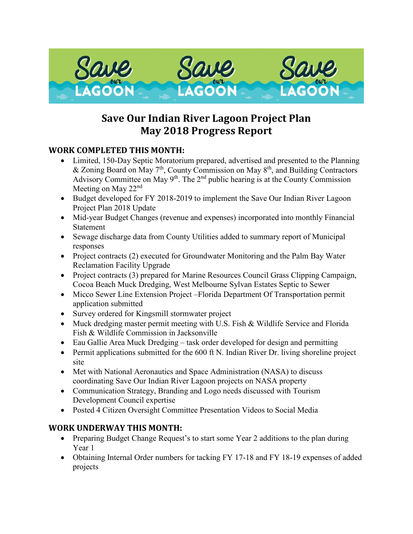

# **Save Our Indian River Lagoon Project Plan May 2018 Progress Report**

## **WORK COMPLETED THIS MONTH:**

- Limited, 150-Day Septic Moratorium prepared, advertised and presented to the Planning & Zoning Board on May  $7<sup>th</sup>$ , County Commission on May  $8<sup>th</sup>$ , and Building Contractors Advisory Committee on May  $9<sup>th</sup>$ . The  $2<sup>nd</sup>$  public hearing is at the County Commission Meeting on May 22<sup>nd</sup>
- Budget developed for FY 2018-2019 to implement the Save Our Indian River Lagoon Project Plan 2018 Update
- Mid-year Budget Changes (revenue and expenses) incorporated into monthly Financial Statement
- Sewage discharge data from County Utilities added to summary report of Municipal responses
- Project contracts (2) executed for Groundwater Monitoring and the Palm Bay Water Reclamation Facility Upgrade
- Project contracts (3) prepared for Marine Resources Council Grass Clipping Campaign, Cocoa Beach Muck Dredging, West Melbourne Sylvan Estates Septic to Sewer
- Micco Sewer Line Extension Project –Florida Department Of Transportation permit application submitted
- Survey ordered for Kingsmill stormwater project
- Muck dredging master permit meeting with U.S. Fish & Wildlife Service and Florida Fish & Wildlife Commission in Jacksonville
- Eau Gallie Area Muck Dredging task order developed for design and permitting
- Permit applications submitted for the 600 ft N. Indian River Dr. living shoreline project site
- Met with National Aeronautics and Space Administration (NASA) to discuss coordinating Save Our Indian River Lagoon projects on NASA property
- Communication Strategy, Branding and Logo needs discussed with Tourism Development Council expertise
- Posted 4 Citizen Oversight Committee Presentation Videos to Social Media

## **WORK UNDERWAY THIS MONTH:**

- Preparing Budget Change Request's to start some Year 2 additions to the plan during Year 1
- Obtaining Internal Order numbers for tacking FY 17-18 and FY 18-19 expenses of added projects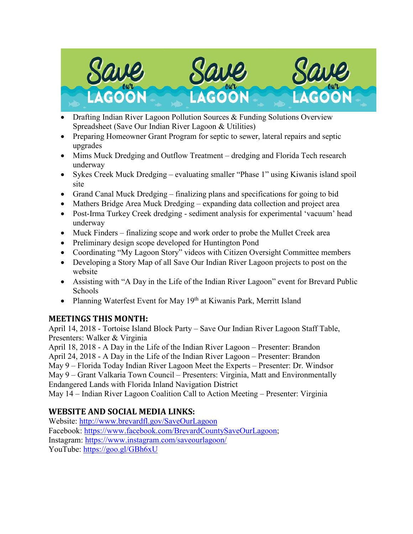

- Drafting Indian River Lagoon Pollution Sources & Funding Solutions Overview Spreadsheet (Save Our Indian River Lagoon & Utilities)
- Preparing Homeowner Grant Program for septic to sewer, lateral repairs and septic upgrades
- Mims Muck Dredging and Outflow Treatment dredging and Florida Tech research underway
- Sykes Creek Muck Dredging evaluating smaller "Phase 1" using Kiwanis island spoil site
- Grand Canal Muck Dredging finalizing plans and specifications for going to bid
- Mathers Bridge Area Muck Dredging expanding data collection and project area
- Post-Irma Turkey Creek dredging sediment analysis for experimental 'vacuum' head underway
- Muck Finders finalizing scope and work order to probe the Mullet Creek area
- Preliminary design scope developed for Huntington Pond
- Coordinating "My Lagoon Story" videos with Citizen Oversight Committee members
- Developing a Story Map of all Save Our Indian River Lagoon projects to post on the website
- Assisting with "A Day in the Life of the Indian River Lagoon" event for Brevard Public Schools
- Planning Waterfest Event for May  $19<sup>th</sup>$  at Kiwanis Park, Merritt Island

## **MEETINGS THIS MONTH:**

April 14, 2018 - Tortoise Island Block Party – Save Our Indian River Lagoon Staff Table, Presenters: Walker & Virginia

April 18, 2018 - A Day in the Life of the Indian River Lagoon – Presenter: Brandon April 24, 2018 - A Day in the Life of the Indian River Lagoon – Presenter: Brandon May 9 – Florida Today Indian River Lagoon Meet the Experts – Presenter: Dr. Windsor May 9 – Grant Valkaria Town Council – Presenters: Virginia, Matt and Environmentally Endangered Lands with Florida Inland Navigation District

May 14 – Indian River Lagoon Coalition Call to Action Meeting – Presenter: Virginia

# **WEBSITE AND SOCIAL MEDIA LINKS:**

Website:<http://www.brevardfl.gov/SaveOurLagoon> Facebook: [https://www.facebook.com/BrevardCountySaveOurLagoon;](https://www.facebook.com/BrevardCountySaveOurLagoon) Instagram:<https://www.instagram.com/saveourlagoon/> YouTube:<https://goo.gl/GBh6xU>